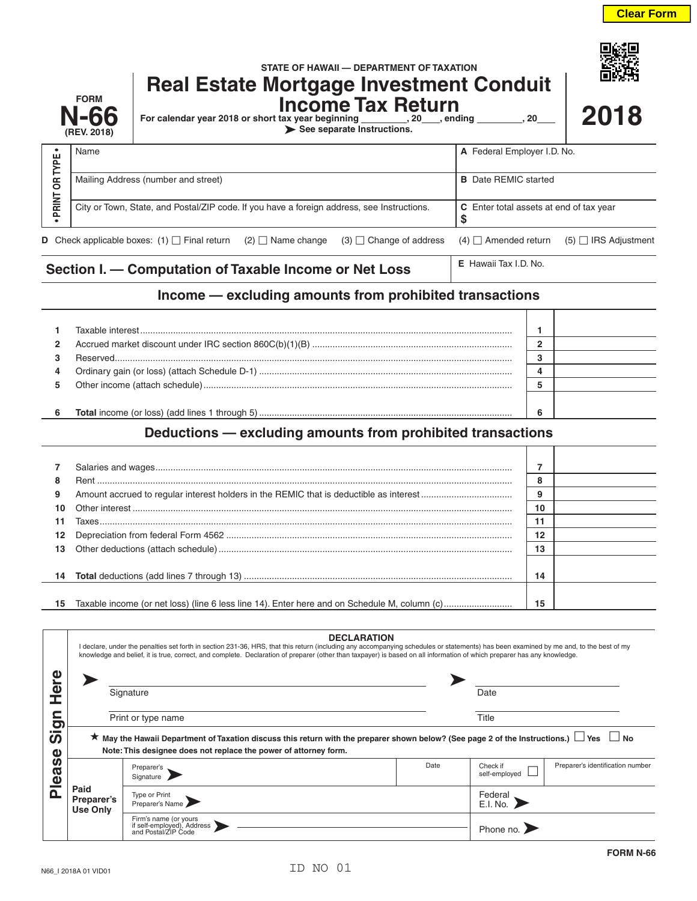|                                                        | <b>FORM</b><br>N-66<br>(REV. 2018)                      | STATE OF HAWAII - DEPARTMENT OF TAXATION<br><b>Real Estate Mortgage Investment Conduit</b><br><b>Income Tax Return</b><br>For calendar year 2018 or short tax year beginning __________, 20___, ending ____<br>.20<br>See separate Instructions. |                                                     |                             |  |
|--------------------------------------------------------|---------------------------------------------------------|--------------------------------------------------------------------------------------------------------------------------------------------------------------------------------------------------------------------------------------------------|-----------------------------------------------------|-----------------------------|--|
| $\bullet$<br>OR TYPE                                   | Name                                                    |                                                                                                                                                                                                                                                  | A Federal Employer I.D. No.                         |                             |  |
|                                                        |                                                         | Mailing Address (number and street)                                                                                                                                                                                                              | <b>B</b> Date REMIC started                         |                             |  |
| <b>PRINT</b>                                           |                                                         | City or Town, State, and Postal/ZIP code. If you have a foreign address, see Instructions.                                                                                                                                                       | <b>C</b> Enter total assets at end of tax year<br>S |                             |  |
| D                                                      |                                                         | Check applicable boxes: (1) $\Box$ Final return (2) $\Box$ Name change<br>$(3)$ $\Box$ Change of address                                                                                                                                         | $(4)$ $\Box$ Amended return                         | $(5)$ $\Box$ IRS Adjustment |  |
| Section I. - Computation of Taxable Income or Net Loss |                                                         |                                                                                                                                                                                                                                                  | E Hawaii Tax I.D. No.                               |                             |  |
|                                                        | Income — excluding amounts from prohibited transactions |                                                                                                                                                                                                                                                  |                                                     |                             |  |

| $\overline{2}$ |  |  |
|----------------|--|--|
|                |  |  |
| 4              |  |  |
| 5.             |  |  |
|                |  |  |
| 6              |  |  |

## **Deductions — excluding amounts from prohibited transactions**

| 8  |                                                                                              | o<br>o |  |
|----|----------------------------------------------------------------------------------------------|--------|--|
| 9  |                                                                                              | 9      |  |
| 10 |                                                                                              | 10     |  |
| 11 |                                                                                              | 11     |  |
| 12 |                                                                                              | 12     |  |
| 13 |                                                                                              | 13     |  |
|    |                                                                                              |        |  |
| 14 |                                                                                              | 14     |  |
|    |                                                                                              |        |  |
| 15 | Taxable income (or net loss) (line 6 less line 14). Enter here and on Schedule M, column (c) | 15     |  |

|                                 | <b>DECLARATION</b><br>I declare, under the penalties set forth in section 231-36, HRS, that this return (including any accompanying schedules or statements) has been examined by me and, to the best of my<br>knowledge and belief, it is true, correct, and complete. Declaration of preparer (other than taxpayer) is based on all information of which preparer has any knowledge. |                                                                                                                                                                                                                          |      |                           |                                  |  |  |
|---------------------------------|----------------------------------------------------------------------------------------------------------------------------------------------------------------------------------------------------------------------------------------------------------------------------------------------------------------------------------------------------------------------------------------|--------------------------------------------------------------------------------------------------------------------------------------------------------------------------------------------------------------------------|------|---------------------------|----------------------------------|--|--|
| Ø                               |                                                                                                                                                                                                                                                                                                                                                                                        | Signature                                                                                                                                                                                                                |      | Date                      |                                  |  |  |
| o                               | Print or type name                                                                                                                                                                                                                                                                                                                                                                     |                                                                                                                                                                                                                          |      | Title                     |                                  |  |  |
| <b>S</b><br>ω                   |                                                                                                                                                                                                                                                                                                                                                                                        | $\star$ May the Hawaii Department of Taxation discuss this return with the preparer shown below? (See page 2 of the Instructions.) $\Box$ Yes $\Box$<br>Note: This designee does not replace the power of attorney form. |      |                           | l No                             |  |  |
| <b>Si</b><br>ω<br>Φ<br>$\Omega$ | Paid<br>Preparer's<br><b>Use Only</b>                                                                                                                                                                                                                                                                                                                                                  | Preparer's<br>Signature                                                                                                                                                                                                  | Date | Check if<br>self-employed | Preparer's identification number |  |  |
|                                 |                                                                                                                                                                                                                                                                                                                                                                                        | Type or Print<br>Preparer's Name                                                                                                                                                                                         |      | Federal<br>E.I. No.       |                                  |  |  |
|                                 |                                                                                                                                                                                                                                                                                                                                                                                        | Firm's name (or yours<br>if self-employed), Address<br>and Postal/ZIP Code                                                                                                                                               |      | Phone no.                 |                                  |  |  |